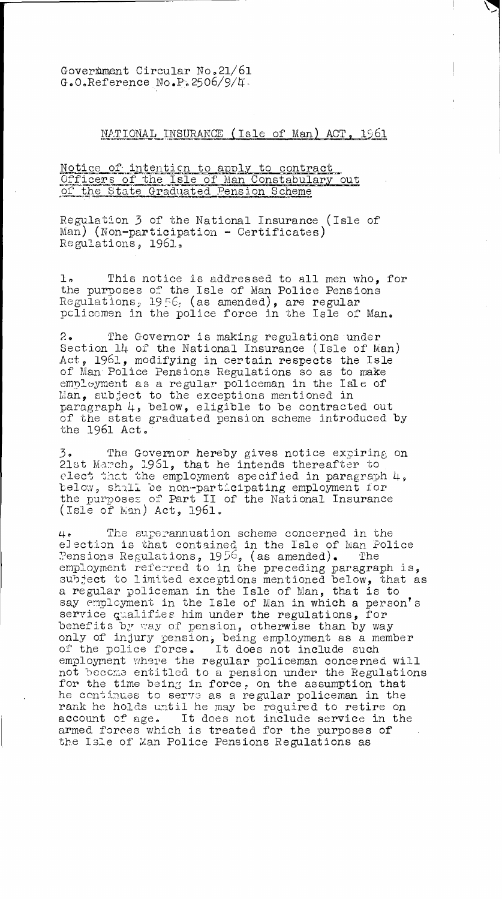Government Circular No.21/61 G.O.Reference No.P.2506/9/4.

## NATIONAL INSURANCE (Isle of Man) ACT, 1961

## Notice of intention to apply to contract Officers of the Isle of Man Constabulary out of the State Graduated Pension Scheme

Regulation 3 of the National Insurance (Isle of Man) (Non-participation - Certificates) Regulations, 1961,

1. This notice is addressed to all men who, for the purposes of the Isle of Man Police Pensions Regulations,  $19.56c$  (as amended), are regular policemen in the police force in the Isle of Man.

2. The Governor is making regulations under Section 14 of the National Insurance (Isle of Man) Act, 1961, modifying in certain respects the Isle of Man Police Pensions Regulations so as to make  $\emph{empl-yment}$  as a regular policeman in the Isle of Man, subject to the exceptions mentioned in paragraph 4, below, eligible to be contracted out of the state graduated pension scheme introduced by the 1961 Act.'

3. The Governor hereby gives notice expiring on 21st Ma:?ch, 1961, that he intends thereafter to elect that the employment specified in paragraph 4, below, shall be non-participating employment for the purposes of Part II of the National Insurance  $(Isle of Man) Act, 1961.$ 

4. The superannuation scheme concerned in the election is that contained in the Isle of Man Police Pensions Regulations,  $1956$ , (as amended). The employment referred to in the preceding paragraph is, subject to limited exceptions mentioned below, that as a regular policeman in the Isle of Man, that is to say employment in the Isle of Man in which a person's service qualifies him under the regulations, for benefits by way of pension, otherwise than by way only of injury pension, being employment as a member of the police force. It does not include such employment where the regular policeman concerned will not beecma entitled to a pension under the Regulations for the time being in force, on the assumption that he continues to serve as a regular policeman in the rank he holds until he may be required to retire on account of age. It does not include service in the armed forces which is treated for the purposes of the Isle of Man Police Pensions Regulations as